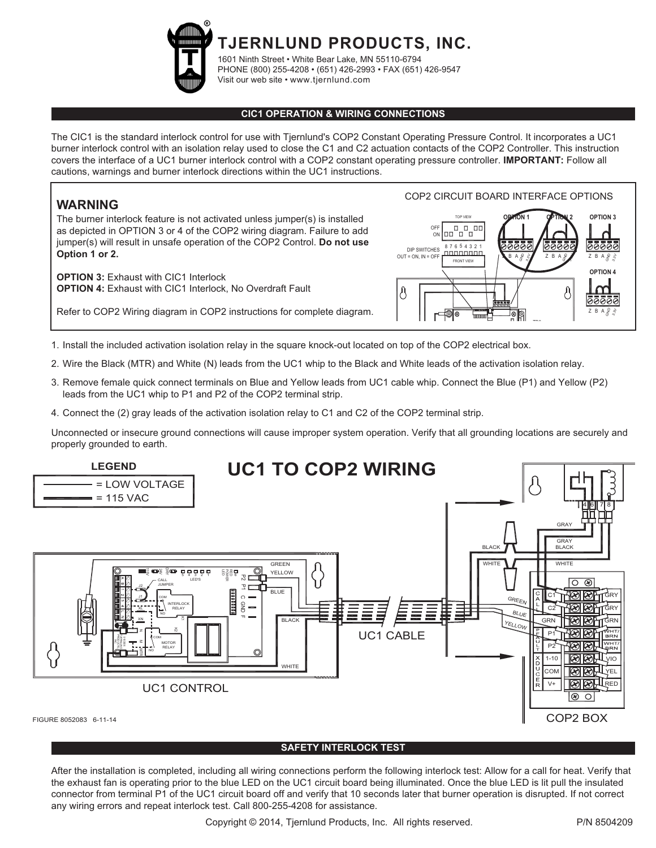

**TJERNLUND PRODUCTS, INC.** 1601 Ninth Street • White Bear Lake, MN 55110-6794 PHONE (800) 255-4208 • (651) 426-2993 • FAX (651) 426-9547 Visit our web site • www.tjernlund.com

## **CIC1 OPERATION & WIRING CONNECTIONS**

The CIC1 is the standard interlock control for use with Tjernlund's COP2 Constant Operating Pressure Control. It incorporates a UC1 burner interlock control with an isolation relay used to close the C1 and C2 actuation contacts of the COP2 Controller. This instruction covers the interface of a UC1 burner interlock control with a COP2 constant operating pressure controller. **IMPORTANT:** Follow all cautions, warnings and burner interlock directions within the UC1 instructions.

## **WARNING**

The burner interlock feature is not activated unless jumper(s) is installed as depicted in OPTION 3 or 4 of the COP2 wiring diagram. Failure to add jumper(s) will result in unsafe operation of the COP2 Control. **Do not use Option 1 or 2.**

**OPTION 3: Exhaust with CIC1 Interlock OPTION 4:** Exhaust with CIC1 Interlock, No Overdraft Fault

Refer to COP2 Wiring diagram in COP2 instructions for complete diagram.



1. Install the included activation isolation relay in the square knock-out located on top of the COP2 electrical box.

- 2. Wire the Black (MTR) and White (N) leads from the UC1 whip to the Black and White leads of the activation isolation relay.
- 3. Remove female quick connect terminals on Blue and Yellow leads from UC1 cable whip. Connect the Blue (P1) and Yellow (P2) leads from the UC1 whip to P1 and P2 of the COP2 terminal strip.
- 4. Connect the (2) gray leads of the activation isolation relay to C1 and C2 of the COP2 terminal strip.

Unconnected or insecure ground connections will cause improper system operation. Verify that all grounding locations are securely and properly grounded to earth.



## **SAFETY INTERLOCK TEST**

After the installation is completed, including all wiring connections perform the following interlock test: Allow for a call for heat. Verify that the exhaust fan is operating prior to the blue LED on the UC1 circuit board being illuminated. Once the blue LED is lit pull the insulated connector from terminal P1 of the UC1 circuit board off and verify that 10 seconds later that burner operation is disrupted. If not correct any wiring errors and repeat interlock test. Call 800-255-4208 for assistance.

Copyright © 2014, Tjernlund Products, Inc. All rights reserved. P/N 8504209